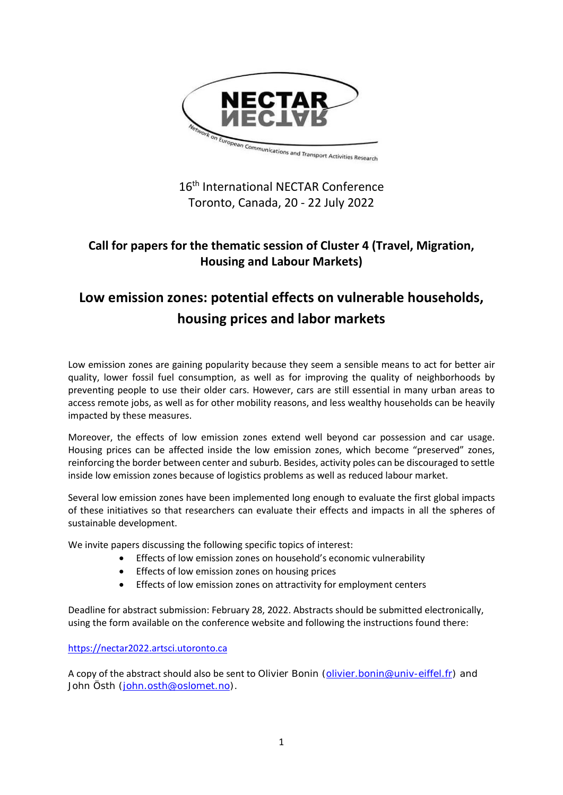

## 16<sup>th</sup> International NECTAR Conference Toronto, Canada, 20 - 22 July 2022

## **Call for papers for the thematic session of Cluster 4 (Travel, Migration, Housing and Labour Markets)**

# **Low emission zones: potential effects on vulnerable households, housing prices and labor markets**

Low emission zones are gaining popularity because they seem a sensible means to act for better air quality, lower fossil fuel consumption, as well as for improving the quality of neighborhoods by preventing people to use their older cars. However, cars are still essential in many urban areas to access remote jobs, as well as for other mobility reasons, and less wealthy households can be heavily impacted by these measures.

Moreover, the effects of low emission zones extend well beyond car possession and car usage. Housing prices can be affected inside the low emission zones, which become "preserved" zones, reinforcing the border between center and suburb. Besides, activity poles can be discouraged to settle inside low emission zones because of logistics problems as well as reduced labour market.

Several low emission zones have been implemented long enough to evaluate the first global impacts of these initiatives so that researchers can evaluate their effects and impacts in all the spheres of sustainable development.

We invite papers discussing the following specific topics of interest:

- Effects of low emission zones on household's economic vulnerability
- Effects of low emission zones on housing prices
- Effects of low emission zones on attractivity for employment centers

Deadline for abstract submission: February 28, 2022. Abstracts should be submitted electronically, using the form available on the conference website and following the instructions found there:

### [https://nectar2022.artsci.utoronto.ca](https://nectar2022.artsci.utoronto.ca/)

A copy of the abstract should also be sent to Olivier Bonin [\(olivier.bonin@univ-eiffel.fr\)](mailto:olivier.bonin@univ-eiffel.fr) and John Östh [\(john.osth@oslomet.no\)](mailto:john.osth@oslomet.no).